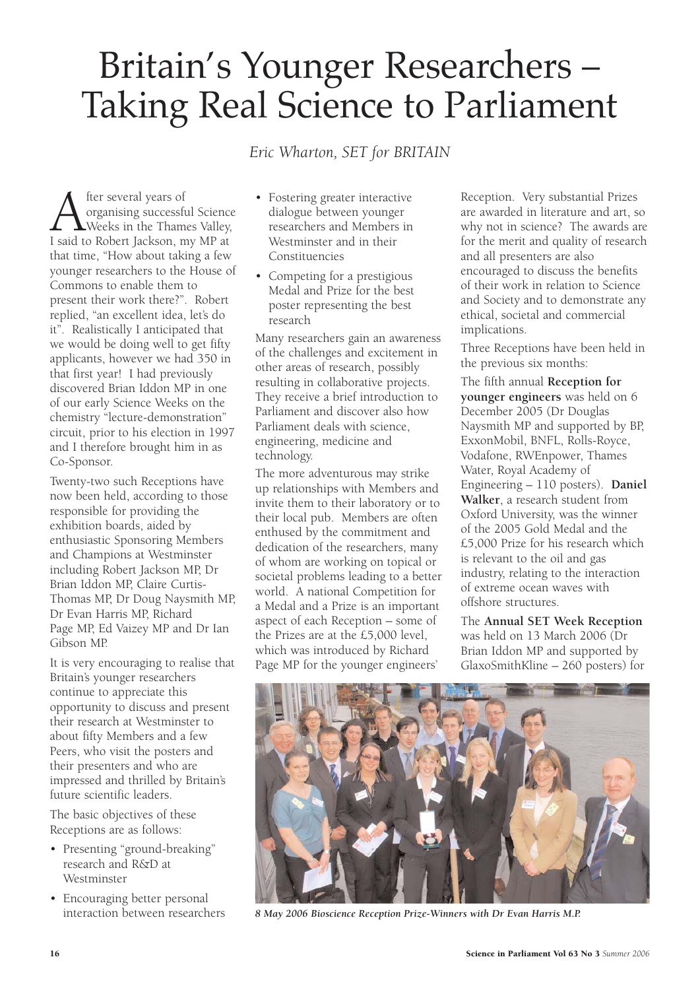## Britain's Younger Researchers – Taking Real Science to Parliament

*Eric Wharton, SET for BRITAIN*

**A** fter several years of<br> **A** organising successful Scienc<br>
I said to Robert Jackson, my MP at organising successful Science Weeks in the Thames Valley, that time, "How about taking a few younger researchers to the House of Commons to enable them to present their work there?". Robert replied, "an excellent idea, let's do it". Realistically I anticipated that we would be doing well to get fifty applicants, however we had 350 in that first year! I had previously discovered Brian Iddon MP in one of our early Science Weeks on the chemistry "lecture-demonstration" circuit, prior to his election in 1997 and I therefore brought him in as Co-Sponsor.

Twenty-two such Receptions have now been held, according to those responsible for providing the exhibition boards, aided by enthusiastic Sponsoring Members and Champions at Westminster including Robert Jackson MP, Dr Brian Iddon MP, Claire Curtis-Thomas MP, Dr Doug Naysmith MP, Dr Evan Harris MP, Richard Page MP, Ed Vaizey MP and Dr Ian Gibson MP.

It is very encouraging to realise that Britain's younger researchers continue to appreciate this opportunity to discuss and present their research at Westminster to about fifty Members and a few Peers, who visit the posters and their presenters and who are impressed and thrilled by Britain's future scientific leaders.

The basic objectives of these Receptions are as follows:

- Presenting "ground-breaking" research and R&D at Westminster
- Encouraging better personal interaction between researchers
- Fostering greater interactive dialogue between younger researchers and Members in Westminster and in their Constituencies
- Competing for a prestigious Medal and Prize for the best poster representing the best research

Many researchers gain an awareness of the challenges and excitement in other areas of research, possibly resulting in collaborative projects. They receive a brief introduction to Parliament and discover also how Parliament deals with science, engineering, medicine and technology.

The more adventurous may strike up relationships with Members and invite them to their laboratory or to their local pub. Members are often enthused by the commitment and dedication of the researchers, many of whom are working on topical or societal problems leading to a better world. A national Competition for a Medal and a Prize is an important aspect of each Reception – some of the Prizes are at the £5,000 level, which was introduced by Richard Page MP for the younger engineers'

Reception. Very substantial Prizes are awarded in literature and art, so why not in science? The awards are for the merit and quality of research and all presenters are also encouraged to discuss the benefits of their work in relation to Science and Society and to demonstrate any ethical, societal and commercial implications.

Three Receptions have been held in the previous six months:

The fifth annual **Reception for younger engineers** was held on 6 December 2005 (Dr Douglas Naysmith MP and supported by BP, ExxonMobil, BNFL, Rolls-Royce, Vodafone, RWEnpower, Thames Water, Royal Academy of Engineering – 110 posters). **Daniel Walker**, a research student from Oxford University, was the winner of the 2005 Gold Medal and the £5,000 Prize for his research which is relevant to the oil and gas industry, relating to the interaction of extreme ocean waves with offshore structures.

The **Annual SET Week Reception** was held on 13 March 2006 (Dr Brian Iddon MP and supported by GlaxoSmithKline – 260 posters) for



*8 May 2006 Bioscience Reception Prize-Winners with Dr Evan Harris M.P.*